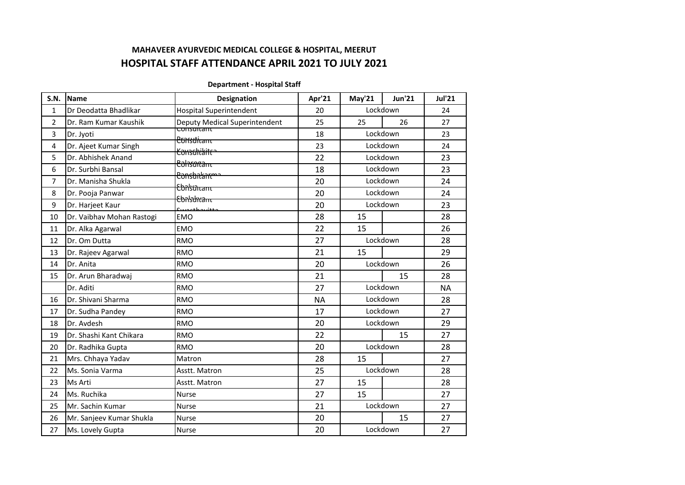# **MAHAVEER AYURVEDIC MEDICAL COLLEGE & HOSPITAL, MEERUT HOSPITAL STAFF ATTENDANCE APRIL 2021 TO JULY 2021**

### **Department - Hospital Staff**

| <b>S.N.</b>  | <b>Name</b>               | <b>Designation</b>                                 | Apr'21    | May'21   | <b>Jun'21</b> | <b>Jul'21</b> |
|--------------|---------------------------|----------------------------------------------------|-----------|----------|---------------|---------------|
| $\mathbf{1}$ | Dr Deodatta Bhadlikar     | <b>Hospital Superintendent</b>                     | 20        |          | Lockdown      | 24            |
| 2            | Dr. Ram Kumar Kaushik     | Deputy Medical Superintendent                      | 25        | 25       | 26            | 27            |
| 3            | Dr. Jyoti                 | <del>consuitant</del><br><del>Constitant</del>     | 18        |          | Lockdown      |               |
| 4            | Dr. Ajeet Kumar Singh     | <del>Conschilitte</del>                            | 23        |          | Lockdown      |               |
| 5            | Dr. Abhishek Anand        |                                                    | 22        |          | Lockdown      | 23            |
| 6            | Dr. Surbhi Bansal         | <del>Cohsartanı -</del><br><del>Consbnlant m</del> | 18        |          | Lockdown      | 23            |
| 7            | Dr. Manisha Shukla        | <del>Cbnlsuntant</del>                             | 20        |          | Lockdown      | 24            |
| 8            | Dr. Pooja Panwar          | <del>Cbnlsuntant</del>                             | 20        |          | Lockdown      | 24            |
| 9            | Dr. Harjeet Kaur          | مععشيم طعمونيته                                    | 20        |          | Lockdown      | 23            |
| 10           | Dr. Vaibhav Mohan Rastogi | <b>EMO</b>                                         | 28        | 15       |               | 28            |
| 11           | Dr. Alka Agarwal          | <b>EMO</b>                                         | 22        | 15       |               | 26            |
| 12           | Dr. Om Dutta              | <b>RMO</b>                                         | 27        | Lockdown |               | 28            |
| 13           | Dr. Rajeev Agarwal        | <b>RMO</b>                                         | 21        | 15       |               | 29            |
| 14           | Dr. Anita                 | <b>RMO</b>                                         | 20        | Lockdown |               | 26            |
| 15           | Dr. Arun Bharadwaj        | <b>RMO</b>                                         | 21        |          | 15            | 28            |
|              | Dr. Aditi                 | <b>RMO</b>                                         | 27        |          | Lockdown      | <b>NA</b>     |
| 16           | Dr. Shivani Sharma        | <b>RMO</b>                                         | <b>NA</b> |          | Lockdown      | 28            |
| 17           | Dr. Sudha Pandey          | <b>RMO</b>                                         | 17        |          | Lockdown      | 27            |
| 18           | Dr. Avdesh                | <b>RMO</b>                                         | 20        |          | Lockdown      | 29            |
| 19           | Dr. Shashi Kant Chikara   | <b>RMO</b>                                         | 22        |          | 15            | 27            |
| 20           | Dr. Radhika Gupta         | <b>RMO</b>                                         | 20        |          | Lockdown      | 28            |
| 21           | Mrs. Chhaya Yadav         | Matron                                             | 28        | 15       |               | 27            |
| 22           | Ms. Sonia Varma           | Asstt. Matron                                      | 25        |          | Lockdown      | 28            |
| 23           | Ms Arti                   | Asstt. Matron                                      | 27        | 15       |               | 28            |
| 24           | Ms. Ruchika               | <b>Nurse</b>                                       | 27        | 15       |               | 27            |
| 25           | Mr. Sachin Kumar          | <b>Nurse</b>                                       | 21        |          | Lockdown      | 27            |
| 26           | Mr. Sanjeev Kumar Shukla  | <b>Nurse</b>                                       | 20        |          | 15            | 27            |
| 27           | Ms. Lovely Gupta          | <b>Nurse</b>                                       | 20        |          | Lockdown      | 27            |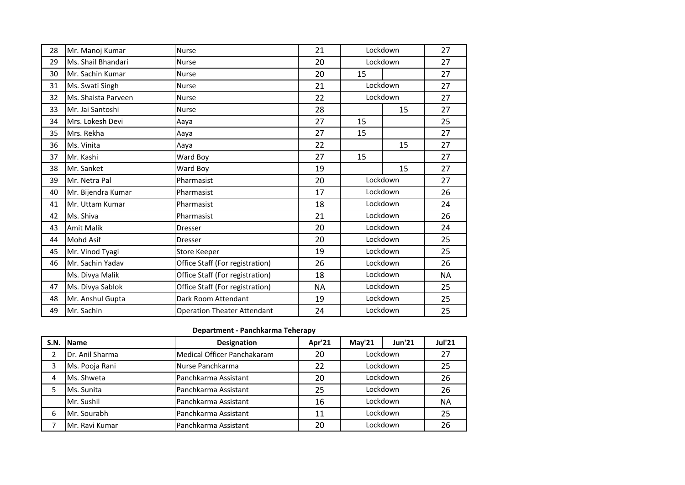| 28 | Mr. Manoj Kumar     | Nurse                              | 21        | Lockdown |          | 27 |
|----|---------------------|------------------------------------|-----------|----------|----------|----|
| 29 | Ms. Shail Bhandari  | <b>Nurse</b>                       | 20        | Lockdown |          | 27 |
| 30 | Mr. Sachin Kumar    | <b>Nurse</b>                       | 20        | 15       |          | 27 |
| 31 | Ms. Swati Singh     | Nurse                              | 21        |          | Lockdown | 27 |
| 32 | Ms. Shaista Parveen | Nurse                              | 22        |          | Lockdown | 27 |
| 33 | Mr. Jai Santoshi    | <b>Nurse</b>                       | 28        |          | 15       | 27 |
| 34 | Mrs. Lokesh Devi    | Aaya                               | 27        | 15       |          | 25 |
| 35 | Mrs. Rekha          | Aaya                               | 27        | 15       |          | 27 |
| 36 | Ms. Vinita          | Aaya                               | 22        |          | 15       | 27 |
| 37 | Mr. Kashi           | Ward Boy                           | 27        | 15       |          | 27 |
| 38 | Mr. Sanket          | Ward Boy                           | 19        |          | 15       | 27 |
| 39 | Mr. Netra Pal       | Pharmasist                         | 20        | Lockdown |          | 27 |
| 40 | Mr. Bijendra Kumar  | Pharmasist                         | 17        | Lockdown |          | 26 |
| 41 | Mr. Uttam Kumar     | Pharmasist                         | 18        | Lockdown |          | 24 |
| 42 | Ms. Shiva           | Pharmasist                         | 21        |          | Lockdown | 26 |
| 43 | <b>Amit Malik</b>   | <b>Dresser</b>                     | 20        |          | Lockdown | 24 |
| 44 | <b>Mohd Asif</b>    | <b>Dresser</b>                     | 20        |          | Lockdown | 25 |
| 45 | Mr. Vinod Tyagi     | <b>Store Keeper</b>                | 19        |          | Lockdown | 25 |
| 46 | Mr. Sachin Yadav    | Office Staff (For registration)    | 26        | Lockdown |          | 26 |
|    | Ms. Divya Malik     | Office Staff (For registration)    | 18        | Lockdown |          | NA |
| 47 | Ms. Divya Sablok    | Office Staff (For registration)    | <b>NA</b> |          | Lockdown | 25 |
| 48 | Mr. Anshul Gupta    | Dark Room Attendant                | 19        |          | Lockdown | 25 |
| 49 | Mr. Sachin          | <b>Operation Theater Attendant</b> | 24        |          | Lockdown | 25 |

## **Department - Panchkarma Teherapy**

| <b>S.N.</b> | <b>IName</b>            | <b>Designation</b>          | Apr'21 | May'21   | <b>Jun'21</b> | <b>Jul'21</b> |
|-------------|-------------------------|-----------------------------|--------|----------|---------------|---------------|
|             | Dr. Anil Sharma         | Medical Officer Panchakaram | 20     | Lockdown |               | 27            |
|             | Ms. Pooja Rani          | Nurse Panchkarma            | 22     | Lockdown |               | 25            |
| 4           | <b>I</b> Ms. Shweta     | Panchkarma Assistant        | 20     | Lockdown |               | 26            |
|             | Ms. Sunita              | Panchkarma Assistant        | 25     | Lockdown |               | 26            |
|             | Mr. Sushil              | Panchkarma Assistant        | 16     | Lockdown |               | <b>NA</b>     |
| 6           | Mr. Sourabh             | Panchkarma Assistant        | 11     | Lockdown |               | 25            |
|             | <b>I</b> Mr. Ravi Kumar | Panchkarma Assistant        | 20     |          | Lockdown      | 26            |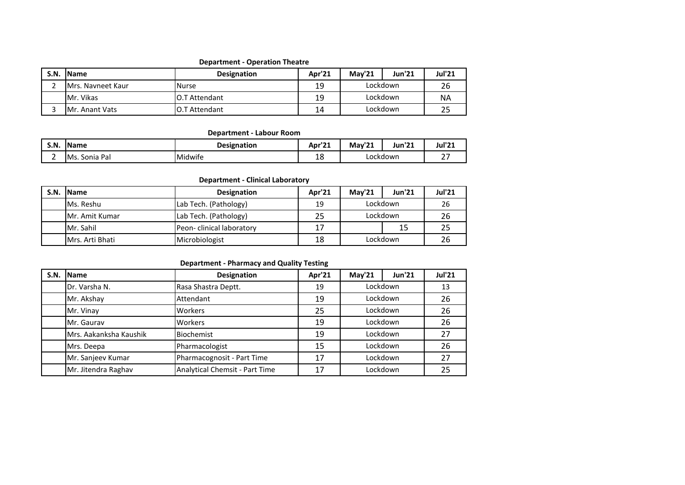### **Department - Operation Theatre**

| S.N. | <b>IName</b>               | <b>Designation</b> | Apr'21 | <b>Mav'21</b> | Jun'21 | <b>Jul'21</b> |
|------|----------------------------|--------------------|--------|---------------|--------|---------------|
|      | <b>I</b> Mrs. Navneet Kaur | <b>Nurse</b>       | 19     | Lockdown      |        | 26            |
|      | <b>I</b> Mr. Vikas         | O.T Attendant      | 19     | Lockdown      |        | <b>NA</b>     |
|      | <b>IMr. Anant Vats</b>     | O.T Attendant      | 14     | Lockdown      |        |               |

### **Department - Labour Room**

| S.N.   | <b>IName</b>                      | Designation | Apr' <sup>2</sup>             | و ها.<br>May<br>44 | In a<br>Jun'21 | <b>Jul'21</b>   |
|--------|-----------------------------------|-------------|-------------------------------|--------------------|----------------|-----------------|
| -<br>- | IM <sub>S</sub> .<br>Pal<br>Sonia | Midwife     | $\overline{\phantom{a}}$<br>ᅩ | Lockdown           |                | $\sim$ $-$<br>- |

### **Department - Clinical Laboratory**

| S.N. | <b>IName</b>             | <b>Designation</b>       | Apr'21 | Mav'21   | <b>Jun'21</b> | <b>Jul'21</b> |
|------|--------------------------|--------------------------|--------|----------|---------------|---------------|
|      | <b>IMs. Reshu</b>        | Lab Tech. (Pathology)    | 19     | Lockdown |               | 26            |
|      | <b>IMr. Amit Kumar</b>   | Lab Tech. (Pathology)    | 25     | Lockdown |               | 26            |
|      | <b>IMr. Sahil</b>        | Peon-clinical laboratory |        |          | 15            |               |
|      | <b>I</b> Mrs. Arti Bhati | Microbiologist           | 18     | Lockdown |               | 26            |

#### **Department - Pharmacy and Quality Testing**

| S.N. | <b>I</b> Name          | <b>Designation</b>                    | Apr'21 | May'21                           | <b>Jun'21</b> | <b>Jul'21</b> |
|------|------------------------|---------------------------------------|--------|----------------------------------|---------------|---------------|
|      | Dr. Varsha N.          | Rasa Shastra Deptt.                   | 19     | Lockdown                         |               | 13            |
|      | Mr. Akshay             | Attendant                             | 19     | Lockdown                         |               | 26            |
|      | Mr. Vinay              | Workers                               | 25     | Lockdown                         |               | 26            |
|      | Mr. Gauray             | Workers                               | 19     | Lockdown                         |               | 26            |
|      | Mrs. Aakanksha Kaushik | Biochemist                            | 19     | Lockdown<br>Lockdown<br>Lockdown |               | 27            |
|      | Mrs. Deepa             | Pharmacologist                        | 15     |                                  |               | 26            |
|      | Mr. Sanjeev Kumar      | Pharmacognosit - Part Time            | 17     |                                  |               | 27            |
|      | Mr. Jitendra Raghav    | <b>Analytical Chemsit - Part Time</b> | 17     |                                  | Lockdown      | 25            |